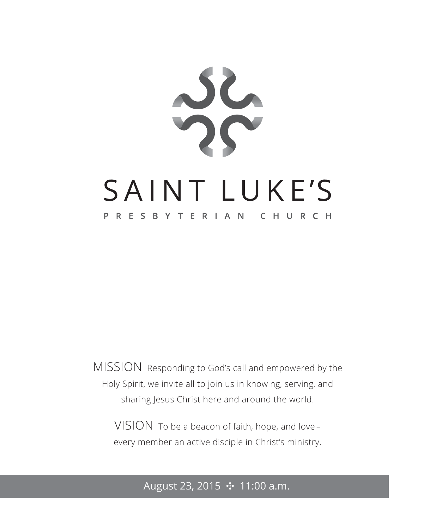

MISSION Responding to God's call and empowered by the Holy Spirit, we invite all to join us in knowing, serving, and sharing Jesus Christ here and around the world.

VISION To be a beacon of faith, hope, and love – every member an active disciple in Christ's ministry.

August 23, 2015 ✣ 11:00 a.m.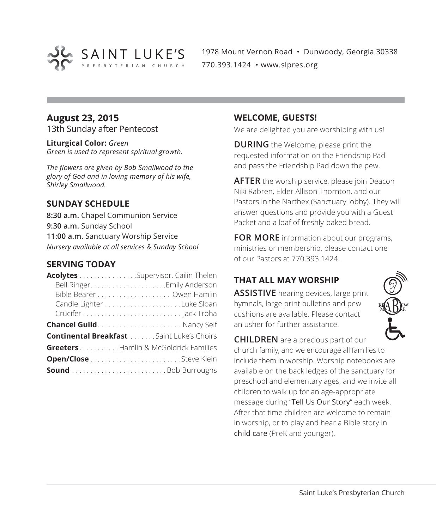

1978 Mount Vernon Road • Dunwoody, Georgia 30338 770.393.1424 • www.slpres.org

# **August 23, 2015**

13th Sunday after Pentecost

**Liturgical Color:** *Green Green is used to represent spiritual growth.*

*The flowers are given by Bob Smallwood to the glory of God and in loving memory of his wife, Shirley Smallwood.*

### **SUNDAY SCHEDULE**

**8:30 a.m.** Chapel Communion Service **9:30 a.m.** Sunday School **11:00 a.m.** Sanctuary Worship Service *Nursery available at all services & Sunday School*

### **SERVING TODAY**

| Acolytes Supervisor, Cailin Thelen               |  |
|--------------------------------------------------|--|
|                                                  |  |
|                                                  |  |
|                                                  |  |
|                                                  |  |
| <b>Chancel Guild Nancy Self</b>                  |  |
| <b>Continental Breakfast Saint Luke's Choirs</b> |  |
| <b>Greeters</b> Hamlin & McGoldrick Families     |  |
|                                                  |  |
| Sound  Bob Burroughs                             |  |

#### **WELCOME, GUESTS!**

We are delighted you are worshiping with us!

**DURING** the Welcome, please print the requested information on the Friendship Pad and pass the Friendship Pad down the pew.

**AFTER** the worship service, please join Deacon Niki Rabren, Elder Allison Thornton, and our Pastors in the Narthex (Sanctuary lobby). They will answer questions and provide you with a Guest Packet and a loaf of freshly-baked bread.

**FOR MORE** information about our programs, ministries or membership, please contact one of our Pastors at 770.393.1424.

# **THAT ALL MAY WORSHIP**

**ASSISTIVE** hearing devices, large print hymnals, large print bulletins and pew cushions are available. Please contact an usher for further assistance.



**CHILDREN** are a precious part of our church family, and we encourage all families to include them in worship. Worship notebooks are available on the back ledges of the sanctuary for preschool and elementary ages, and we invite all children to walk up for an age-appropriate message during "Tell Us Our Story" each week. After that time children are welcome to remain in worship, or to play and hear a Bible story in child care (PreK and younger).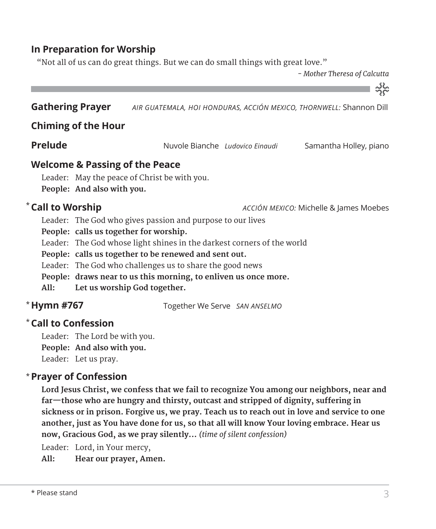# **In Preparation for Worship**

"Not all of us can do great things. But we can do small things with great love."

*- Mother Theresa of Calcutta*

| <b>Gathering Prayer</b>                                  | AIR GUATEMALA, HOI HONDURAS, ACCIÓN MEXICO, THORNWELL: Shannon Dill    |  |
|----------------------------------------------------------|------------------------------------------------------------------------|--|
|                                                          | <b>Chiming of the Hour</b>                                             |  |
| <b>Prelude</b>                                           | Nuvole Bianche Ludovico Eingudi<br>Samantha Holley, piano              |  |
|                                                          | <b>Welcome &amp; Passing of the Peace</b>                              |  |
|                                                          | Leader: May the peace of Christ be with you.                           |  |
|                                                          | People: And also with you.                                             |  |
| * Call to Worship                                        | ACCIÓN MEXICO: Michelle & James Moebes                                 |  |
|                                                          | Leader: The God who gives passion and purpose to our lives             |  |
|                                                          | People: calls us together for worship.                                 |  |
|                                                          | Leader: The God whose light shines in the darkest corners of the world |  |
|                                                          | People: calls us together to be renewed and sent out.                  |  |
| Leader: The God who challenges us to share the good news |                                                                        |  |
|                                                          | People: draws near to us this morning, to enliven us once more.        |  |
| All:                                                     | Let us worship God together.                                           |  |
| * Hymn #767                                              | Together We Serve SAN ANSELMO                                          |  |

# **Call to Confession**  \*

Leader: The Lord be with you. **People: And also with you.**

Leader: Let us pray.

# **Prayer of Confession**  \*

 **Lord Jesus Christ, we confess that we fail to recognize You among our neighbors, near and far—those who are hungry and thirsty, outcast and stripped of dignity, suffering in sickness or in prison. Forgive us, we pray. Teach us to reach out in love and service to one another, just as You have done for us, so that all will know Your loving embrace. Hear us now, Gracious God, as we pray silently...** *(time of silent confession)*

Leader: Lord, in Your mercy,

**All: Hear our prayer, Amen.**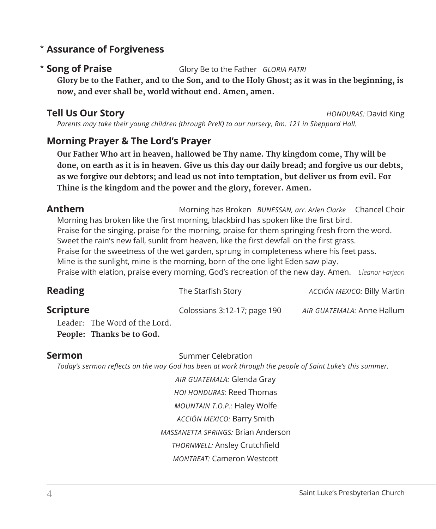# **Assurance of Forgiveness** \*

#### \* Song of Praise

**Song of Praise** Glory Be to the Father *GLORIA PATRI*

 **Glory be to the Father, and to the Son, and to the Holy Ghost; as it was in the beginning, is now, and ever shall be, world without end. Amen, amen.**

**Tell Us Our Story** *HONDURAS:* David King *Parents may take their young children (through PreK) to our nursery, Rm. 121 in Sheppard Hall.* 

# **Morning Prayer & The Lord's Prayer**

 **Our Father Who art in heaven, hallowed be Thy name. Thy kingdom come, Thy will be done, on earth as it is in heaven. Give us this day our daily bread; and forgive us our debts, as we forgive our debtors; and lead us not into temptation, but deliver us from evil. For Thine is the kingdom and the power and the glory, forever. Amen.**

**Anthem** Morning has Broken *BUNESSAN, arr. Arlen Clarke* Chancel Choir Morning has broken like the first morning, blackbird has spoken like the first bird. Praise for the singing, praise for the morning, praise for them springing fresh from the word. Sweet the rain's new fall, sunlit from heaven, like the first dewfall on the first grass. Praise for the sweetness of the wet garden, sprung in completeness where his feet pass. Mine is the sunlight, mine is the morning, born of the one light Eden saw play. Praise with elation, praise every morning, God's recreation of the new day. Amen. *Eleanor Farjeon*

| <b>Reading</b>                | The Starfish Story           | ACCIÓN MEXICO: Billy Martin |
|-------------------------------|------------------------------|-----------------------------|
| <b>Scripture</b>              | Colossians 3:12-17; page 190 | AIR GUATEMALA: Anne Hallum  |
| Leader: The Word of the Lord. |                              |                             |

**People: Thanks be to God.** 

**Sermon** Summer Celebration

*Today's sermon reflects on the way God has been at work through the people of Saint Luke's this summer.*

*AIR GUATEMALA:* Glenda Gray *HOI HONDURAS:* Reed Thomas *MOUNTAIN T.O.P.:* Haley Wolfe *ACCIÓN MEXICO:* Barry Smith *MASSANETTA SPRINGS:* Brian Anderson *THORNWELL:* Ansley Crutchfield *MONTREAT:* Cameron Westcott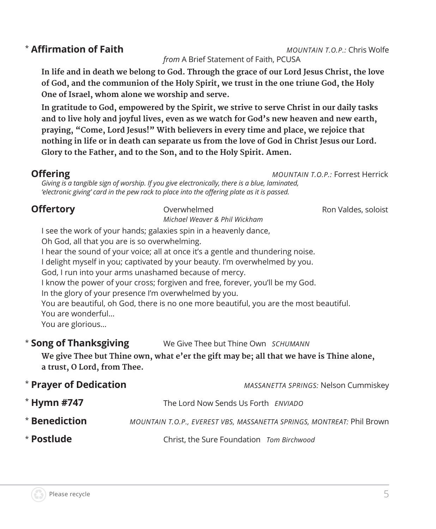#### \* **Affirmation of Faith** *MOUNTAIN T.O.P.:* **Chris Wolfe**

*from* A Brief Statement of Faith, PCUSA

 **In life and in death we belong to God. Through the grace of our Lord Jesus Christ, the love of God, and the communion of the Holy Spirit, we trust in the one triune God, the Holy One of Israel, whom alone we worship and serve.**

 **In gratitude to God, empowered by the Spirit, we strive to serve Christ in our daily tasks and to live holy and joyful lives, even as we watch for God's new heaven and new earth, praying, "Come, Lord Jesus!" With believers in every time and place, we rejoice that nothing in life or in death can separate us from the love of God in Christ Jesus our Lord. Glory to the Father, and to the Son, and to the Holy Spirit. Amen.**

**Offering** *MOUNTAIN T.O.P.:* Forrest Herrick

*Giving is a tangible sign of worship. If you give electronically, there is a blue, laminated, 'electronic giving' card in the pew rack to place into the offering plate as it is passed.* 

*Michael Weaver & Phil Wickham*

**Offertory Conserver Conserverse Conserverse Conserverse Conserverse Conserverse Conserverse Conserverse Conserverse Conserverse Conserverse Conserverse Conserverse Conserverse Conserverse Conserverse Conserverse Conserv** 

I see the work of your hands; galaxies spin in a heavenly dance,

Oh God, all that you are is so overwhelming.

I hear the sound of your voice; all at once it's a gentle and thundering noise.

I delight myself in you; captivated by your beauty. I'm overwhelmed by you.

God, I run into your arms unashamed because of mercy.

I know the power of your cross; forgiven and free, forever, you'll be my God.

In the glory of your presence I'm overwhelmed by you.

You are beautiful, oh God, there is no one more beautiful, you are the most beautiful. You are wonderful…

You are glorious…

# \* Song of Thanksgiving

**Song of Thanksgiving** We Give Thee but Thine Own *SCHUMANN*

 **We give Thee but Thine own, what e'er the gift may be; all that we have is Thine alone, a trust, O Lord, from Thee.**

| * Prayer of Dedication | MASSANETTA SPRINGS: Nelson Cummiskey                                   |
|------------------------|------------------------------------------------------------------------|
| $*$ Hymn #747          | The Lord Now Sends Us Forth ENVIADO                                    |
| * Benediction          | MOUNTAIN T.O.P., EVEREST VBS, MASSANETTA SPRINGS, MONTREAT: Phil Brown |
| * Postlude             | Christ, the Sure Foundation Tom Birchwood                              |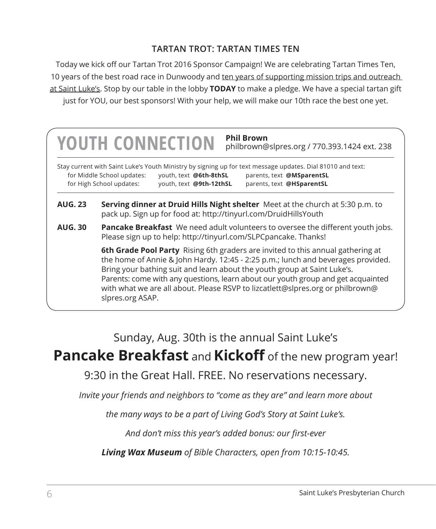### **TARTAN TROT: TARTAN TIMES TEN**

Today we kick off our Tartan Trot 2016 Sponsor Campaign! We are celebrating Tartan Times Ten, 10 years of the best road race in Dunwoody and ten years of supporting mission trips and outreach at Saint Luke's. Stop by our table in the lobby **TODAY** to make a pledge. We have a special tartan gift just for YOU, our best sponsors! With your help, we will make our 10th race the best one yet.

# **YOUTH CONNECTION Phil Brown**

philbrown@slpres.org / 770.393.1424 ext. 238

Stay current with Saint Luke's Youth Ministry by signing up for text message updates. Dial 81010 and text: for Middle School updates: youth, text **@6th-8thSL** parents, text **@MSparentSL** for High School updates: youth, text **@9th-12thSL** parents, text **@HSparentSL**

- **AUG. 23 Serving dinner at Druid Hills Night shelter** Meet at the church at 5:30 p.m. to pack up. Sign up for food at: http://tinyurl.com/DruidHillsYouth
- **AUG. 30 Pancake Breakfast** We need adult volunteers to oversee the different youth jobs. Please sign up to help: http://tinyurl.com/SLPCpancake. Thanks!

**6th Grade Pool Party** Rising 6th graders are invited to this annual gathering at the home of Annie & John Hardy. 12:45 - 2:25 p.m.; lunch and beverages provided. Bring your bathing suit and learn about the youth group at Saint Luke's. Parents: come with any questions, learn about our youth group and get acquainted with what we are all about. Please RSVP to lizcatlett@slpres.org or philbrown@ slpres.org ASAP.

Sunday, Aug. 30th is the annual Saint Luke's

# **Pancake Breakfast** and **Kickoff** of the new program year!

# 9:30 in the Great Hall. FREE. No reservations necessary.

*Invite your friends and neighbors to "come as they are" and learn more about* 

*the many ways to be a part of Living God's Story at Saint Luke's.* 

*And don't miss this year's added bonus: our first-ever* 

*Living Wax Museum of Bible Characters, open from 10:15-10:45.*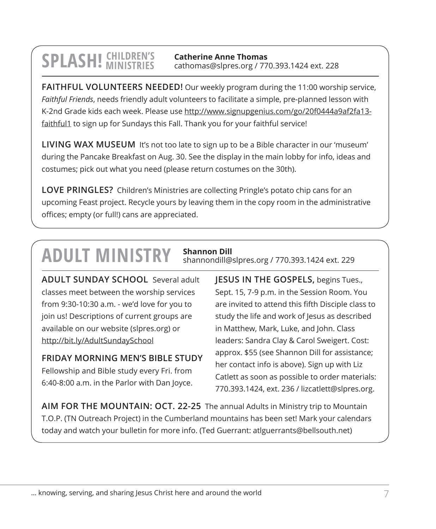#### **SPLASH!** *CHILDREN'S* **Catherine Anne Thomas** cathomas@slpres.org / 770.393.1424 ext. 228

**FAITHFUL VOLUNTEERS NEEDED!** Our weekly program during the 11:00 worship service, *Faithful Friends*, needs friendly adult volunteers to facilitate a simple, pre-planned lesson with K-2nd Grade kids each week. Please use http://www.signupgenius.com/go/20f0444a9af2fa13faithful1 to sign up for Sundays this Fall. Thank you for your faithful service!

**LIVING WAX MUSEUM** It's not too late to sign up to be a Bible character in our 'museum' during the Pancake Breakfast on Aug. 30. See the display in the main lobby for info, ideas and costumes; pick out what you need (please return costumes on the 30th).

**LOVE PRINGLES?** Children's Ministries are collecting Pringle's potato chip cans for an upcoming Feast project. Recycle yours by leaving them in the copy room in the administrative offices; empty (or full!) cans are appreciated.

# **ADULT MINISTRY Shannon Dill**

shannondill@slpres.org / 770.393.1424 ext. 229

**ADULT SUNDAY SCHOOL** Several adult classes meet between the worship services from 9:30-10:30 a.m. - we'd love for you to join us! Descriptions of current groups are available on our website (slpres.org) or http://bit.ly/AdultSundaySchool

**FRIDAY MORNING MEN'S BIBLE STUDY**  Fellowship and Bible study every Fri. from 6:40-8:00 a.m. in the Parlor with Dan Joyce.

**JESUS IN THE GOSPELS,** begins Tues., Sept. 15, 7-9 p.m. in the Session Room. You are invited to attend this fifth Disciple class to study the life and work of Jesus as described in Matthew, Mark, Luke, and John. Class leaders: Sandra Clay & Carol Sweigert. Cost: approx. \$55 (see Shannon Dill for assistance; her contact info is above). Sign up with Liz Catlett as soon as possible to order materials: 770.393.1424, ext. 236 / lizcatlett@slpres.org.

**AIM FOR THE MOUNTAIN: OCT. 22-25** The annual Adults in Ministry trip to Mountain T.O.P. (TN Outreach Project) in the Cumberland mountains has been set! Mark your calendars today and watch your bulletin for more info. (Ted Guerrant: atlguerrants@bellsouth.net)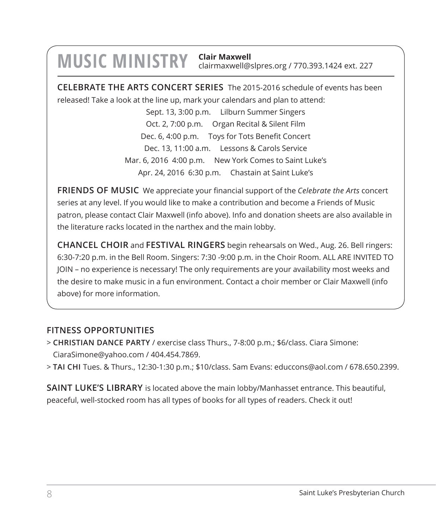# **MUSIC MINISTRY** Clair Maxwell clairmaxwell@slpres.org / 770.393.1424 ext. 227

**CELEBRATE THE ARTS CONCERT SERIES** The 2015-2016 schedule of events has been released! Take a look at the line up, mark your calendars and plan to attend:

> Sept. 13, 3:00 p.m. Lilburn Summer Singers Oct. 2, 7:00 p.m. Organ Recital & Silent Film Dec. 6, 4:00 p.m. Toys for Tots Benefit Concert Dec. 13, 11:00 a.m. Lessons & Carols Service Mar. 6, 2016 4:00 p.m. New York Comes to Saint Luke's Apr. 24, 2016 6:30 p.m. Chastain at Saint Luke's

**FRIENDS OF MUSIC** We appreciate your financial support of the *Celebrate the Arts* concert series at any level. If you would like to make a contribution and become a Friends of Music patron, please contact Clair Maxwell (info above). Info and donation sheets are also available in the literature racks located in the narthex and the main lobby.

**CHANCEL CHOIR** and **FESTIVAL RINGERS** begin rehearsals on Wed., Aug. 26. Bell ringers: 6:30-7:20 p.m. in the Bell Room. Singers: 7:30 -9:00 p.m. in the Choir Room. ALL ARE INVITED TO JOIN – no experience is necessary! The only requirements are your availability most weeks and the desire to make music in a fun environment. Contact a choir member or Clair Maxwell (info above) for more information.

### **FITNESS OPPORTUNITIES**

- > **CHRISTIAN DANCE PARTY** / exercise class Thurs., 7-8:00 p.m.; \$6/class. Ciara Simone: CiaraSimone@yahoo.com / 404.454.7869.
- > **TAI CHI** Tues. & Thurs., 12:30-1:30 p.m.; \$10/class. Sam Evans: educcons@aol.com / 678.650.2399.

**SAINT LUKE'S LIBRARY** is located above the main lobby/Manhasset entrance. This beautiful, peaceful, well-stocked room has all types of books for all types of readers. Check it out!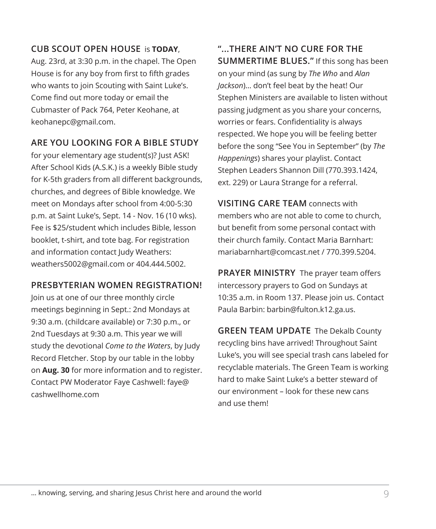# **CUB SCOUT OPEN HOUSE** is **TODAY**,

Aug. 23rd, at 3:30 p.m. in the chapel. The Open House is for any boy from first to fifth grades who wants to join Scouting with Saint Luke's. Come find out more today or email the Cubmaster of Pack 764, Peter Keohane, at keohanepc@gmail.com.

### **ARE YOU LOOKING FOR A BIBLE STUDY**

for your elementary age student(s)? Just ASK! After School Kids (A.S.K.) is a weekly Bible study for K-5th graders from all different backgrounds, churches, and degrees of Bible knowledge. We meet on Mondays after school from 4:00-5:30 p.m. at Saint Luke's, Sept. 14 - Nov. 16 (10 wks). Fee is \$25/student which includes Bible, lesson booklet, t-shirt, and tote bag. For registration and information contact Judy Weathers: weathers5002@gmail.com or 404.444.5002.

#### **PRESBYTERIAN WOMEN REGISTRATION!**

Join us at one of our three monthly circle meetings beginning in Sept.: 2nd Mondays at 9:30 a.m. (childcare available) or 7:30 p.m., or 2nd Tuesdays at 9:30 a.m. This year we will study the devotional *Come to the Waters*, by Judy Record Fletcher. Stop by our table in the lobby on **Aug. 30** for more information and to register. Contact PW Moderator Faye Cashwell: faye@ cashwellhome.com

**"...THERE AIN'T NO CURE FOR THE SUMMERTIME BLUES."** If this song has been on your mind (as sung by *The Who* and *Alan Jackson*)… don't feel beat by the heat! Our Stephen Ministers are available to listen without passing judgment as you share your concerns, worries or fears. Confidentiality is always respected. We hope you will be feeling better before the song "See You in September" (by *The Happenings*) shares your playlist. Contact Stephen Leaders Shannon Dill (770.393.1424, ext. 229) or Laura Strange for a referral.

**VISITING CARE TEAM** connects with members who are not able to come to church, but benefit from some personal contact with their church family. Contact Maria Barnhart: mariabarnhart@comcast.net / 770.399.5204.

**PRAYER MINISTRY** The prayer team offers intercessory prayers to God on Sundays at 10:35 a.m. in Room 137. Please join us. Contact Paula Barbin: barbin@fulton.k12.ga.us.

**GREEN TEAM UPDATE** The Dekalb County recycling bins have arrived! Throughout Saint Luke's, you will see special trash cans labeled for recyclable materials. The Green Team is working hard to make Saint Luke's a better steward of our environment – look for these new cans and use them!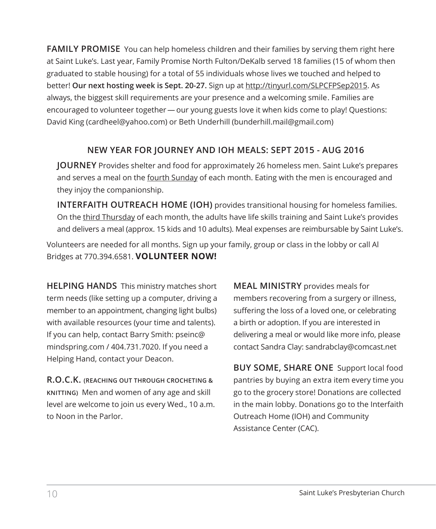**FAMILY PROMISE** You can help homeless children and their families by serving them right here at Saint Luke's. Last year, Family Promise North Fulton/DeKalb served 18 families (15 of whom then graduated to stable housing) for a total of 55 individuals whose lives we touched and helped to better! **Our next hosting week is Sept. 20-27.** Sign up at http://tinyurl.com/SLPCFPSep2015. As always, the biggest skill requirements are your presence and a welcoming smile. Families are encouraged to volunteer together — our young guests love it when kids come to play! Questions: David King (cardheel@yahoo.com) or Beth Underhill (bunderhill.mail@gmail.com)

# **NEW YEAR FOR JOURNEY AND IOH MEALS: SEPT 2015 - AUG 2016**

 **JOURNEY** Provides shelter and food for approximately 26 homeless men. Saint Luke's prepares and serves a meal on the fourth Sunday of each month. Eating with the men is encouraged and they injoy the companionship.

 **INTERFAITH OUTREACH HOME (IOH)** provides transitional housing for homeless families. On the third Thursday of each month, the adults have life skills training and Saint Luke's provides and delivers a meal (approx. 15 kids and 10 adults). Meal expenses are reimbursable by Saint Luke's.

Volunteers are needed for all months. Sign up your family, group or class in the lobby or call Al Bridges at 770.394.6581. **VOLUNTEER NOW!**

**HELPING HANDS** This ministry matches short term needs (like setting up a computer, driving a member to an appointment, changing light bulbs) with available resources (your time and talents). If you can help, contact Barry Smith: pseinc@ mindspring.com / 404.731.7020. If you need a Helping Hand, contact your Deacon.

**R.O.C.K. (REACHING OUT THROUGH CROCHETING & KNITTING)** Men and women of any age and skill level are welcome to join us every Wed., 10 a.m. to Noon in the Parlor.

**MEAL MINISTRY** provides meals for members recovering from a surgery or illness, suffering the loss of a loved one, or celebrating a birth or adoption. If you are interested in delivering a meal or would like more info, please contact Sandra Clay: sandrabclay@comcast.net

**BUY SOME, SHARE ONE** Support local food pantries by buying an extra item every time you go to the grocery store! Donations are collected in the main lobby. Donations go to the Interfaith Outreach Home (IOH) and Community Assistance Center (CAC).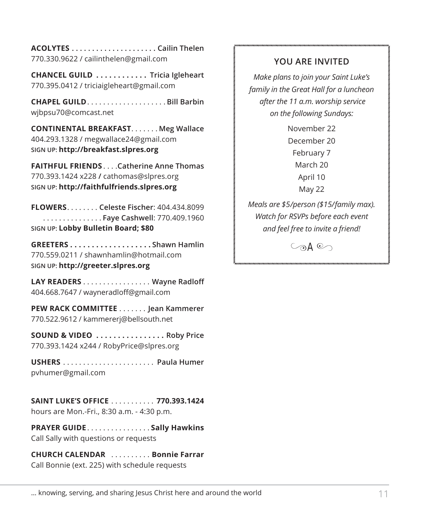**ACOLYTES. . Cailin Thelen** 770.330.9622 / cailinthelen@gmail.com

**CHANCEL GUILD . . . . . . . . . . . . Tricia Igleheart** 770.395.0412 / triciaigleheart@gmail.com

**CHAPEL GUILD.................Bill Barbin** wjbpsu70@comcast.net

**CONTINENTAL BREAKFAST. . . . . . . Meg Wallace** 404.293.1328 / megwallace24@gmail.com **SIGN UP: http://breakfast.slpres.org**

**FAITHFUL FRIENDS**. **Catherine Anne Thomas** 770.393.1424 x228 **/** cathomas@slpres.org **SIGN UP: http://faithfulfriends.slpres.org**

**FLOWERS**. . **Celeste Fischer**: 404.434.8099 . **Faye Cashwell**: 770.409.1960 **SIGN UP: Lobby Bulletin Board; \$80**

**GREETERS . . . . . . . . . . . . . . . . . . Shawn Hamlin** 770.559.0211 / shawnhamlin@hotmail.com **SIGN UP: http://greeter.slpres.org**

LAY READERS . . . . . . . . . . . . . . . . Wayne Radloff 404.668.7647 / wayneradloff@gmail.com

**PEW RACK COMMITTEE**....... Iean Kammerer 770.522.9612 / kammererj@bellsouth.net

**SOUND & VIDEO . . . . . . . . . . . . . . . . Roby Price** 770.393.1424 x244 / RobyPrice@slpres.org

**USHERS**. . **Paula Humer** pvhumer@gmail.com

**SAINT LUKE'S OFFICE**. . **770.393.1424** hours are Mon.-Fri., 8:30 a.m. - 4:30 p.m.

**PRAYER GUIDE...............Sally Hawkins** Call Sally with questions or requests

**CHURCH CALENDAR**. . **Bonnie Farrar** Call Bonnie (ext. 225) with schedule requests

#### **YOU ARE INVITED**

*Make plans to join your Saint Luke's family in the Great Hall for a luncheon after the 11 a.m. worship service on the following Sundays:*

> November 22 December 20 February 7 March 20 April 10 May 22

*Meals are \$5/person (\$15/family max). Watch for RSVPs before each event and feel free to invite a friend!*